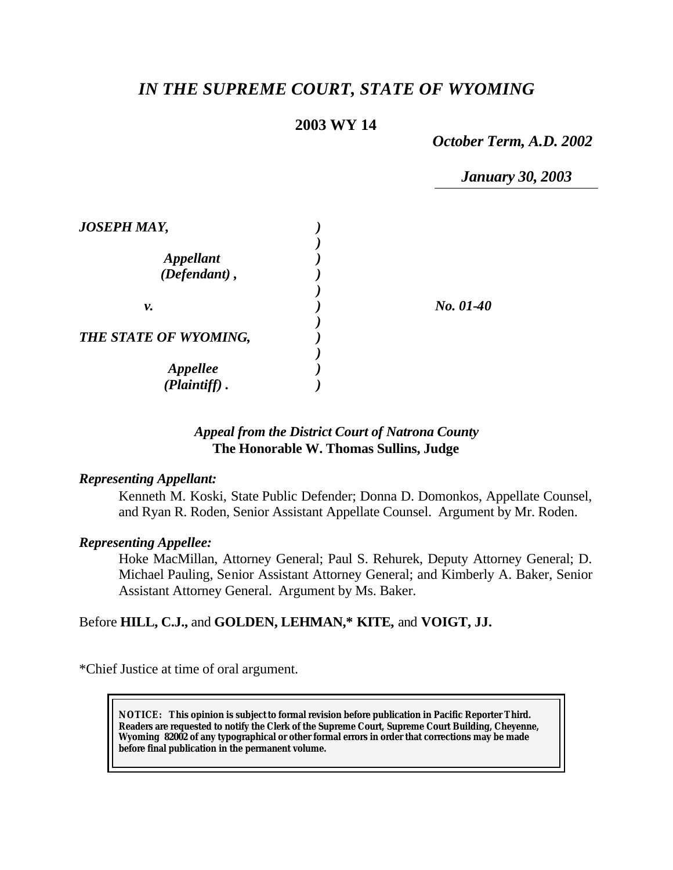# *IN THE SUPREME COURT, STATE OF WYOMING*

## **2003 WY 14**

*October Term, A.D. 2002*

*January 30, 2003*

| <b>JOSEPH MAY,</b>      |           |
|-------------------------|-----------|
|                         |           |
| <i><b>Appellant</b></i> |           |
| (Defendant),            |           |
|                         |           |
| ν.                      | No. 01-40 |
|                         |           |
| THE STATE OF WYOMING,   |           |
|                         |           |
| <i><b>Appellee</b></i>  |           |
| (Plaintiff).            |           |

## *Appeal from the District Court of Natrona County* **The Honorable W. Thomas Sullins, Judge**

## *Representing Appellant:*

Kenneth M. Koski, State Public Defender; Donna D. Domonkos, Appellate Counsel, and Ryan R. Roden, Senior Assistant Appellate Counsel. Argument by Mr. Roden.

#### *Representing Appellee:*

Hoke MacMillan, Attorney General; Paul S. Rehurek, Deputy Attorney General; D. Michael Pauling, Senior Assistant Attorney General; and Kimberly A. Baker, Senior Assistant Attorney General. Argument by Ms. Baker.

## Before **HILL, C.J.,** and **GOLDEN, LEHMAN,\* KITE,** and **VOIGT, JJ.**

\*Chief Justice at time of oral argument.

**NOTICE:** *This opinion is subject to formal revision before publication in Pacific Reporter Third. Readers are requested to notify the Clerk of the Supreme Court, Supreme Court Building, Cheyenne, Wyoming 82002 of any typographical or other formal errors in order that corrections may be made before final publication in the permanent volume.*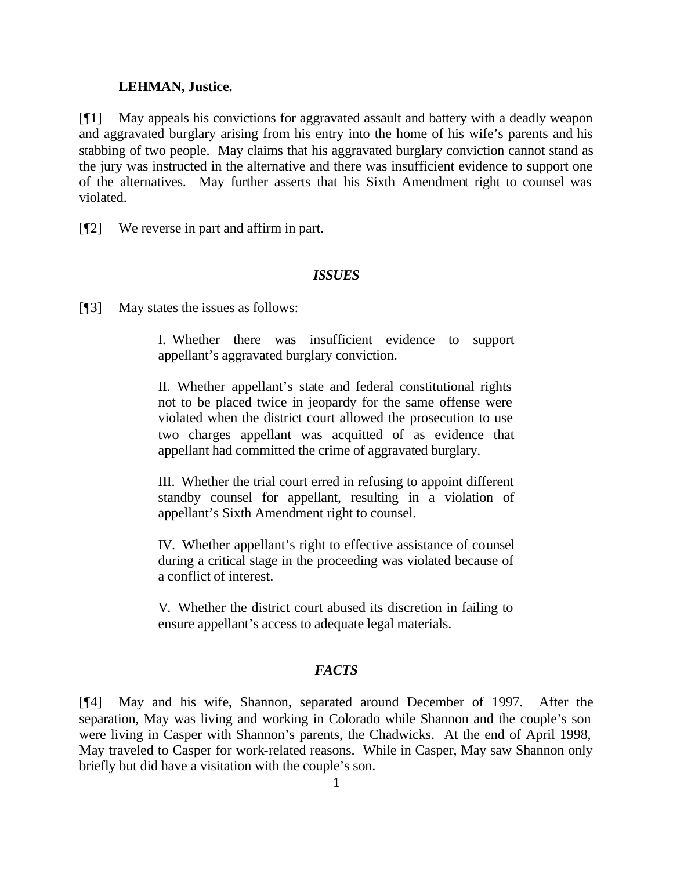#### **LEHMAN, Justice.**

[¶1] May appeals his convictions for aggravated assault and battery with a deadly weapon and aggravated burglary arising from his entry into the home of his wife's parents and his stabbing of two people. May claims that his aggravated burglary conviction cannot stand as the jury was instructed in the alternative and there was insufficient evidence to support one of the alternatives. May further asserts that his Sixth Amendment right to counsel was violated.

[¶2] We reverse in part and affirm in part.

#### *ISSUES*

[¶3] May states the issues as follows:

I. Whether there was insufficient evidence to support appellant's aggravated burglary conviction.

II. Whether appellant's state and federal constitutional rights not to be placed twice in jeopardy for the same offense were violated when the district court allowed the prosecution to use two charges appellant was acquitted of as evidence that appellant had committed the crime of aggravated burglary.

III. Whether the trial court erred in refusing to appoint different standby counsel for appellant, resulting in a violation of appellant's Sixth Amendment right to counsel.

IV. Whether appellant's right to effective assistance of counsel during a critical stage in the proceeding was violated because of a conflict of interest.

V. Whether the district court abused its discretion in failing to ensure appellant's access to adequate legal materials.

## *FACTS*

[¶4] May and his wife, Shannon, separated around December of 1997. After the separation, May was living and working in Colorado while Shannon and the couple's son were living in Casper with Shannon's parents, the Chadwicks. At the end of April 1998, May traveled to Casper for work-related reasons. While in Casper, May saw Shannon only briefly but did have a visitation with the couple's son.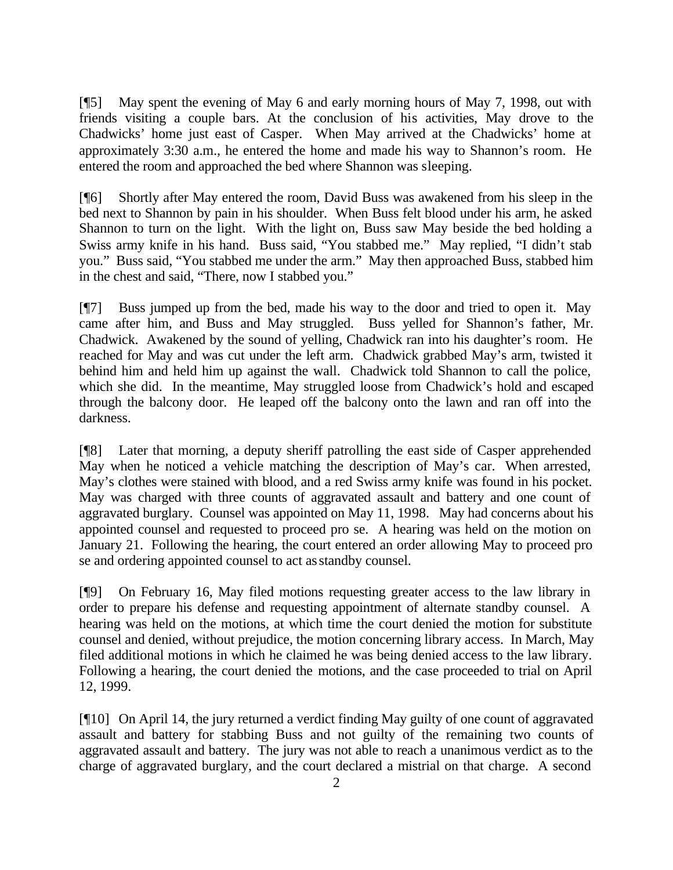[¶5] May spent the evening of May 6 and early morning hours of May 7, 1998, out with friends visiting a couple bars. At the conclusion of his activities, May drove to the Chadwicks' home just east of Casper. When May arrived at the Chadwicks' home at approximately 3:30 a.m., he entered the home and made his way to Shannon's room. He entered the room and approached the bed where Shannon was sleeping.

[¶6] Shortly after May entered the room, David Buss was awakened from his sleep in the bed next to Shannon by pain in his shoulder. When Buss felt blood under his arm, he asked Shannon to turn on the light. With the light on, Buss saw May beside the bed holding a Swiss army knife in his hand. Buss said, "You stabbed me." May replied, "I didn't stab you." Buss said, "You stabbed me under the arm." May then approached Buss, stabbed him in the chest and said, "There, now I stabbed you."

[¶7] Buss jumped up from the bed, made his way to the door and tried to open it. May came after him, and Buss and May struggled. Buss yelled for Shannon's father, Mr. Chadwick. Awakened by the sound of yelling, Chadwick ran into his daughter's room. He reached for May and was cut under the left arm. Chadwick grabbed May's arm, twisted it behind him and held him up against the wall. Chadwick told Shannon to call the police, which she did. In the meantime, May struggled loose from Chadwick's hold and escaped through the balcony door. He leaped off the balcony onto the lawn and ran off into the darkness.

[¶8] Later that morning, a deputy sheriff patrolling the east side of Casper apprehended May when he noticed a vehicle matching the description of May's car. When arrested, May's clothes were stained with blood, and a red Swiss army knife was found in his pocket. May was charged with three counts of aggravated assault and battery and one count of aggravated burglary. Counsel was appointed on May 11, 1998. May had concerns about his appointed counsel and requested to proceed pro se. A hearing was held on the motion on January 21. Following the hearing, the court entered an order allowing May to proceed pro se and ordering appointed counsel to act as standby counsel.

[¶9] On February 16, May filed motions requesting greater access to the law library in order to prepare his defense and requesting appointment of alternate standby counsel. A hearing was held on the motions, at which time the court denied the motion for substitute counsel and denied, without prejudice, the motion concerning library access. In March, May filed additional motions in which he claimed he was being denied access to the law library. Following a hearing, the court denied the motions, and the case proceeded to trial on April 12, 1999.

[¶10] On April 14, the jury returned a verdict finding May guilty of one count of aggravated assault and battery for stabbing Buss and not guilty of the remaining two counts of aggravated assault and battery. The jury was not able to reach a unanimous verdict as to the charge of aggravated burglary, and the court declared a mistrial on that charge. A second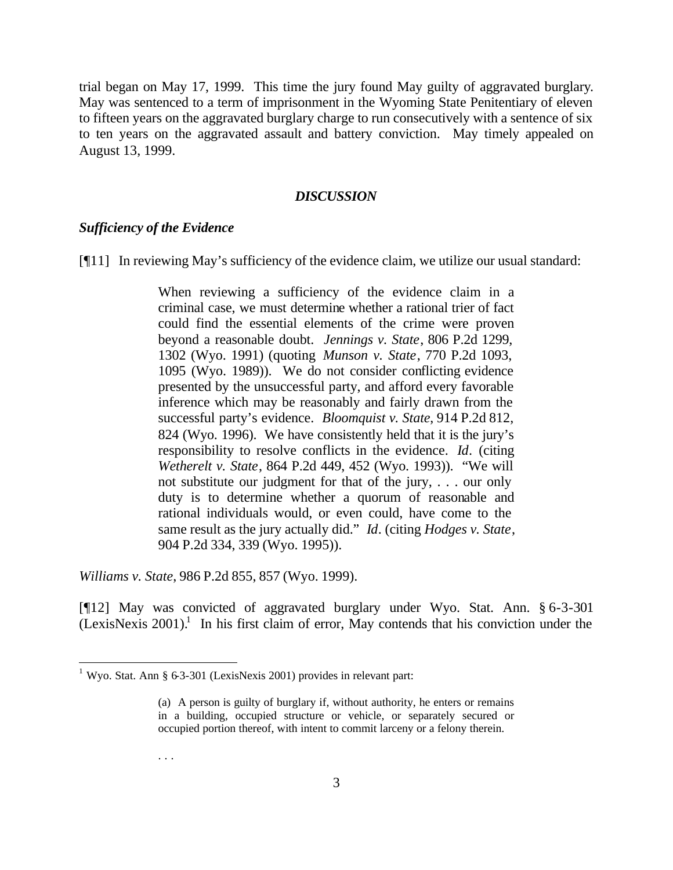trial began on May 17, 1999. This time the jury found May guilty of aggravated burglary. May was sentenced to a term of imprisonment in the Wyoming State Penitentiary of eleven to fifteen years on the aggravated burglary charge to run consecutively with a sentence of six to ten years on the aggravated assault and battery conviction. May timely appealed on August 13, 1999.

#### *DISCUSSION*

#### *Sufficiency of the Evidence*

[¶11] In reviewing May's sufficiency of the evidence claim, we utilize our usual standard:

When reviewing a sufficiency of the evidence claim in a criminal case, we must determine whether a rational trier of fact could find the essential elements of the crime were proven beyond a reasonable doubt. *Jennings v. State*, 806 P.2d 1299, 1302 (Wyo. 1991) (quoting *Munson v. State*, 770 P.2d 1093, 1095 (Wyo. 1989)). We do not consider conflicting evidence presented by the unsuccessful party, and afford every favorable inference which may be reasonably and fairly drawn from the successful party's evidence. *Bloomquist v. State*, 914 P.2d 812, 824 (Wyo. 1996). We have consistently held that it is the jury's responsibility to resolve conflicts in the evidence. *Id*. (citing *Wetherelt v. State*, 864 P.2d 449, 452 (Wyo. 1993)). "We will not substitute our judgment for that of the jury, . . . our only duty is to determine whether a quorum of reasonable and rational individuals would, or even could, have come to the same result as the jury actually did." *Id*. (citing *Hodges v. State*, 904 P.2d 334, 339 (Wyo. 1995)).

*Williams v. State*, 986 P.2d 855, 857 (Wyo. 1999).

l

[¶12] May was convicted of aggravated burglary under Wyo. Stat. Ann. § 6-3-301  $(LexisNexis 2001).$ <sup>1</sup> In his first claim of error, May contends that his conviction under the

. . .

<sup>&</sup>lt;sup>1</sup> Wyo. Stat. Ann § 63-301 (LexisNexis 2001) provides in relevant part:

<sup>(</sup>a) A person is guilty of burglary if, without authority, he enters or remains in a building, occupied structure or vehicle, or separately secured or occupied portion thereof, with intent to commit larceny or a felony therein.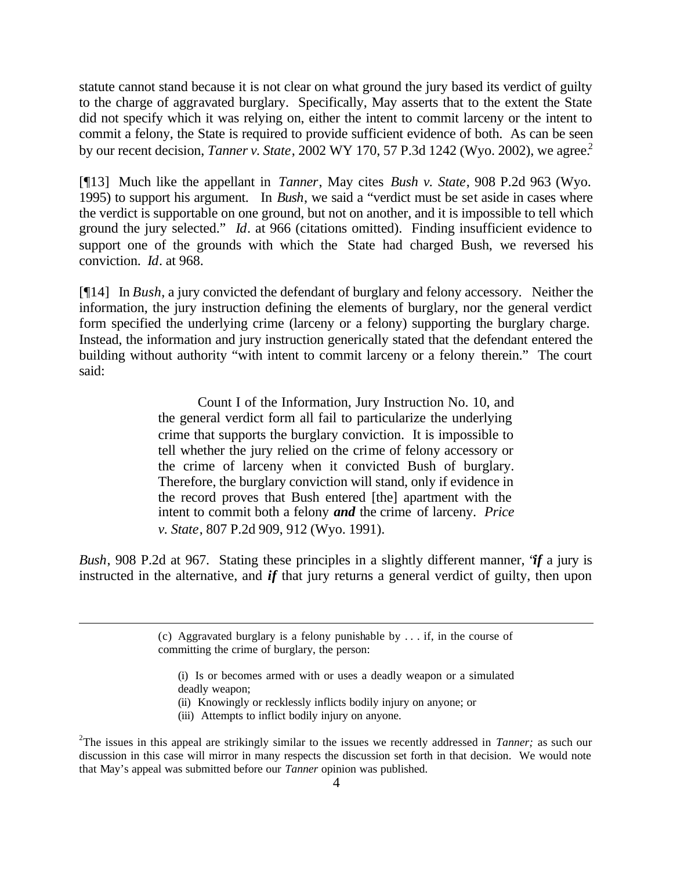statute cannot stand because it is not clear on what ground the jury based its verdict of guilty to the charge of aggravated burglary. Specifically, May asserts that to the extent the State did not specify which it was relying on, either the intent to commit larceny or the intent to commit a felony, the State is required to provide sufficient evidence of both. As can be seen by our recent decision, *Tanner v. State*, 2002 WY 170, 57 P.3d 1242 (Wyo. 2002), we agree.<sup>2</sup>

[¶13] Much like the appellant in *Tanner*, May cites *Bush v. State*, 908 P.2d 963 (Wyo. 1995) to support his argument. In *Bush*, we said a "verdict must be set aside in cases where the verdict is supportable on one ground, but not on another, and it is impossible to tell which ground the jury selected." *Id*. at 966 (citations omitted). Finding insufficient evidence to support one of the grounds with which the State had charged Bush, we reversed his conviction. *Id*. at 968.

[¶14] In *Bush*, a jury convicted the defendant of burglary and felony accessory. Neither the information, the jury instruction defining the elements of burglary, nor the general verdict form specified the underlying crime (larceny or a felony) supporting the burglary charge. Instead, the information and jury instruction generically stated that the defendant entered the building without authority "with intent to commit larceny or a felony therein." The court said:

> Count I of the Information, Jury Instruction No. 10, and the general verdict form all fail to particularize the underlying crime that supports the burglary conviction. It is impossible to tell whether the jury relied on the crime of felony accessory or the crime of larceny when it convicted Bush of burglary. Therefore, the burglary conviction will stand, only if evidence in the record proves that Bush entered [the] apartment with the intent to commit both a felony *and* the crime of larceny. *Price v. State*, 807 P.2d 909, 912 (Wyo. 1991).

*Bush*, 908 P.2d at 967. Stating these principles in a slightly different manner, "*if* a jury is instructed in the alternative, and *if* that jury returns a general verdict of guilty, then upon

- (i) Is or becomes armed with or uses a deadly weapon or a simulated deadly weapon;
- (ii) Knowingly or recklessly inflicts bodily injury on anyone; or
- (iii) Attempts to inflict bodily injury on anyone.

l

<sup>(</sup>c) Aggravated burglary is a felony punishable by . . . if, in the course of committing the crime of burglary, the person:

<sup>2</sup> The issues in this appeal are strikingly similar to the issues we recently addressed in *Tanner;* as such our discussion in this case will mirror in many respects the discussion set forth in that decision. We would note that May's appeal was submitted before our *Tanner* opinion was published.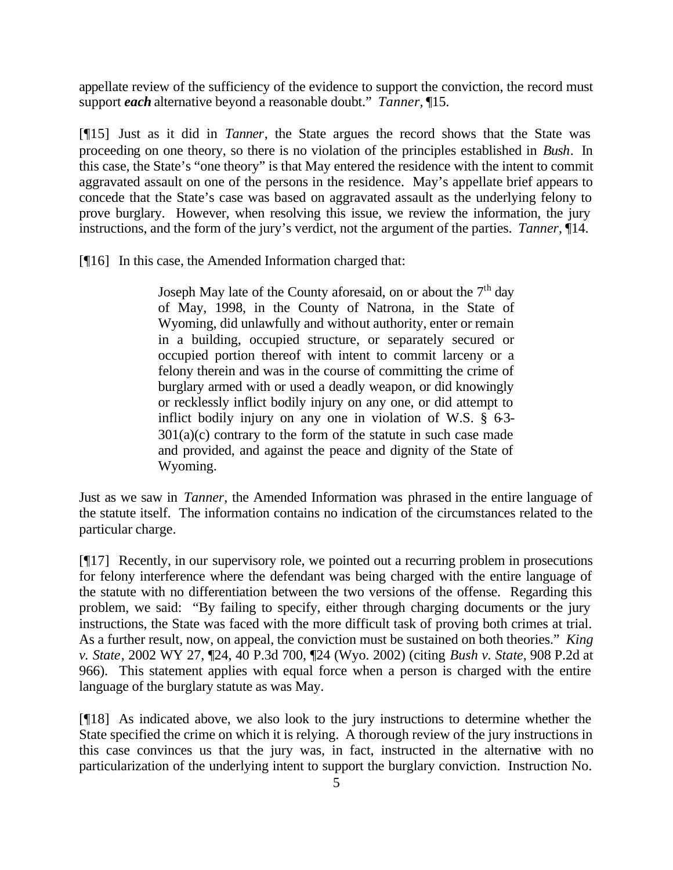appellate review of the sufficiency of the evidence to support the conviction, the record must support *each* alternative beyond a reasonable doubt." *Tanner,* ¶15.

[¶15] Just as it did in *Tanner*, the State argues the record shows that the State was proceeding on one theory, so there is no violation of the principles established in *Bush*. In this case, the State's "one theory" is that May entered the residence with the intent to commit aggravated assault on one of the persons in the residence. May's appellate brief appears to concede that the State's case was based on aggravated assault as the underlying felony to prove burglary. However, when resolving this issue, we review the information, the jury instructions, and the form of the jury's verdict, not the argument of the parties. *Tanner*, ¶14.

[¶16] In this case, the Amended Information charged that:

Joseph May late of the County aforesaid, on or about the  $7<sup>th</sup>$  day of May, 1998, in the County of Natrona, in the State of Wyoming, did unlawfully and without authority, enter or remain in a building, occupied structure, or separately secured or occupied portion thereof with intent to commit larceny or a felony therein and was in the course of committing the crime of burglary armed with or used a deadly weapon, or did knowingly or recklessly inflict bodily injury on any one, or did attempt to inflict bodily injury on any one in violation of W.S.  $\S$  63- $301(a)(c)$  contrary to the form of the statute in such case made and provided, and against the peace and dignity of the State of Wyoming.

Just as we saw in *Tanner*, the Amended Information was phrased in the entire language of the statute itself. The information contains no indication of the circumstances related to the particular charge.

[¶17] Recently, in our supervisory role, we pointed out a recurring problem in prosecutions for felony interference where the defendant was being charged with the entire language of the statute with no differentiation between the two versions of the offense. Regarding this problem, we said: "By failing to specify, either through charging documents or the jury instructions, the State was faced with the more difficult task of proving both crimes at trial. As a further result, now, on appeal, the conviction must be sustained on both theories." *King v. State*, 2002 WY 27, ¶24, 40 P.3d 700, ¶24 (Wyo. 2002) (citing *Bush v. State*, 908 P.2d at 966). This statement applies with equal force when a person is charged with the entire language of the burglary statute as was May.

[¶18] As indicated above, we also look to the jury instructions to determine whether the State specified the crime on which it is relying. A thorough review of the jury instructions in this case convinces us that the jury was, in fact, instructed in the alternative with no particularization of the underlying intent to support the burglary conviction. Instruction No.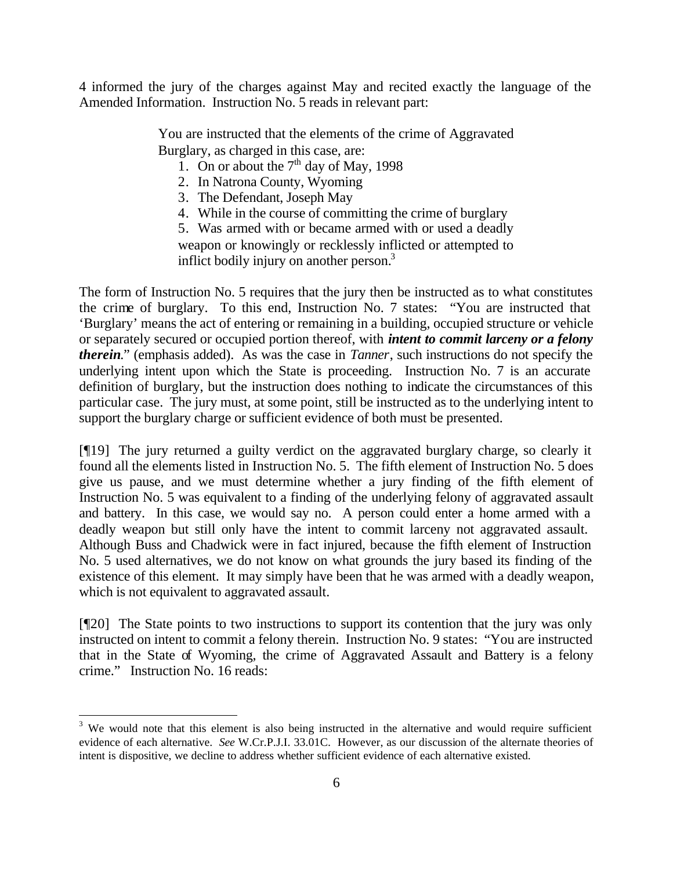4 informed the jury of the charges against May and recited exactly the language of the Amended Information. Instruction No. 5 reads in relevant part:

> You are instructed that the elements of the crime of Aggravated Burglary, as charged in this case, are:

- 1. On or about the  $7<sup>th</sup>$  day of May, 1998
- 2. In Natrona County, Wyoming
- 3. The Defendant, Joseph May
- 4. While in the course of committing the crime of burglary

5. Was armed with or became armed with or used a deadly weapon or knowingly or recklessly inflicted or attempted to inflict bodily injury on another person. $3$ 

The form of Instruction No. 5 requires that the jury then be instructed as to what constitutes the crime of burglary. To this end, Instruction No. 7 states: "You are instructed that 'Burglary' means the act of entering or remaining in a building, occupied structure or vehicle or separately secured or occupied portion thereof, with *intent to commit larceny or a felony therein*." (emphasis added). As was the case in *Tanner*, such instructions do not specify the underlying intent upon which the State is proceeding. Instruction No. 7 is an accurate definition of burglary, but the instruction does nothing to indicate the circumstances of this particular case. The jury must, at some point, still be instructed as to the underlying intent to support the burglary charge or sufficient evidence of both must be presented.

[¶19] The jury returned a guilty verdict on the aggravated burglary charge, so clearly it found all the elements listed in Instruction No. 5. The fifth element of Instruction No. 5 does give us pause, and we must determine whether a jury finding of the fifth element of Instruction No. 5 was equivalent to a finding of the underlying felony of aggravated assault and battery. In this case, we would say no. A person could enter a home armed with a deadly weapon but still only have the intent to commit larceny not aggravated assault. Although Buss and Chadwick were in fact injured, because the fifth element of Instruction No. 5 used alternatives, we do not know on what grounds the jury based its finding of the existence of this element. It may simply have been that he was armed with a deadly weapon, which is not equivalent to aggravated assault.

[¶20] The State points to two instructions to support its contention that the jury was only instructed on intent to commit a felony therein. Instruction No. 9 states: "You are instructed that in the State of Wyoming, the crime of Aggravated Assault and Battery is a felony crime." Instruction No. 16 reads:

<sup>&</sup>lt;sup>3</sup> We would note that this element is also being instructed in the alternative and would require sufficient evidence of each alternative. *See* W.Cr.P.J.I. 33.01C. However, as our discussion of the alternate theories of intent is dispositive, we decline to address whether sufficient evidence of each alternative existed.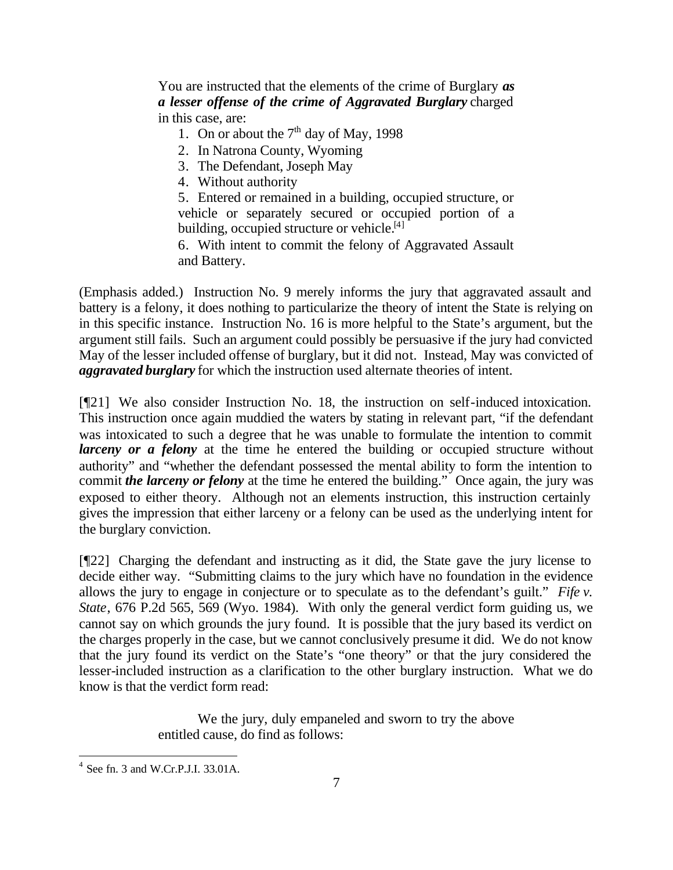You are instructed that the elements of the crime of Burglary *as a lesser offense of the crime of Aggravated Burglary* charged in this case, are:

- 1. On or about the  $7<sup>th</sup>$  day of May, 1998
- 2. In Natrona County, Wyoming
- 3. The Defendant, Joseph May
- 4. Without authority

5. Entered or remained in a building, occupied structure, or vehicle or separately secured or occupied portion of a building, occupied structure or vehicle.<sup>[4]</sup>

6. With intent to commit the felony of Aggravated Assault and Battery.

(Emphasis added.) Instruction No. 9 merely informs the jury that aggravated assault and battery is a felony, it does nothing to particularize the theory of intent the State is relying on in this specific instance. Instruction No. 16 is more helpful to the State's argument, but the argument still fails. Such an argument could possibly be persuasive if the jury had convicted May of the lesser included offense of burglary, but it did not. Instead, May was convicted of *aggravated burglary* for which the instruction used alternate theories of intent.

[¶21] We also consider Instruction No. 18, the instruction on self-induced intoxication. This instruction once again muddied the waters by stating in relevant part, "if the defendant was intoxicated to such a degree that he was unable to formulate the intention to commit *larceny or a felony* at the time he entered the building or occupied structure without authority" and "whether the defendant possessed the mental ability to form the intention to commit *the larceny or felony* at the time he entered the building." Once again, the jury was exposed to either theory. Although not an elements instruction, this instruction certainly gives the impression that either larceny or a felony can be used as the underlying intent for the burglary conviction.

[¶22] Charging the defendant and instructing as it did, the State gave the jury license to decide either way. "Submitting claims to the jury which have no foundation in the evidence allows the jury to engage in conjecture or to speculate as to the defendant's guilt." *Fife v. State*, 676 P.2d 565, 569 (Wyo. 1984). With only the general verdict form guiding us, we cannot say on which grounds the jury found. It is possible that the jury based its verdict on the charges properly in the case, but we cannot conclusively presume it did. We do not know that the jury found its verdict on the State's "one theory" or that the jury considered the lesser-included instruction as a clarification to the other burglary instruction. What we do know is that the verdict form read:

> We the jury, duly empaneled and sworn to try the above entitled cause, do find as follows:

l

 $4$  See fn. 3 and W.Cr.P.J.I. 33.01A.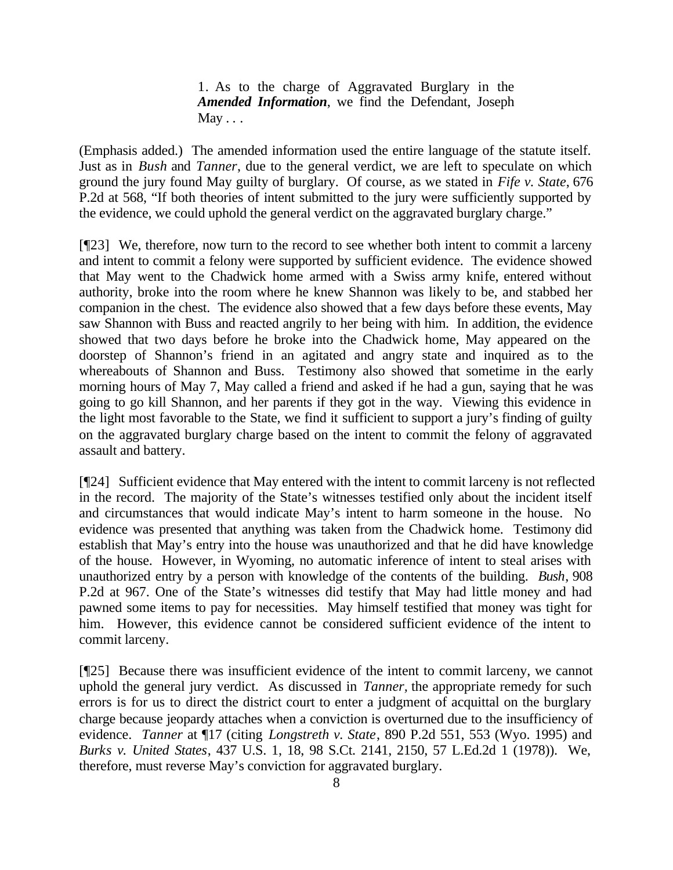1. As to the charge of Aggravated Burglary in the *Amended Information*, we find the Defendant, Joseph  $M$ ay  $\ldots$ 

(Emphasis added.) The amended information used the entire language of the statute itself. Just as in *Bush* and *Tanner*, due to the general verdict, we are left to speculate on which ground the jury found May guilty of burglary. Of course, as we stated in *Fife v. State*, 676 P.2d at 568, "If both theories of intent submitted to the jury were sufficiently supported by the evidence, we could uphold the general verdict on the aggravated burglary charge."

[¶23] We, therefore, now turn to the record to see whether both intent to commit a larceny and intent to commit a felony were supported by sufficient evidence. The evidence showed that May went to the Chadwick home armed with a Swiss army knife, entered without authority, broke into the room where he knew Shannon was likely to be, and stabbed her companion in the chest. The evidence also showed that a few days before these events, May saw Shannon with Buss and reacted angrily to her being with him. In addition, the evidence showed that two days before he broke into the Chadwick home, May appeared on the doorstep of Shannon's friend in an agitated and angry state and inquired as to the whereabouts of Shannon and Buss. Testimony also showed that sometime in the early morning hours of May 7, May called a friend and asked if he had a gun, saying that he was going to go kill Shannon, and her parents if they got in the way. Viewing this evidence in the light most favorable to the State, we find it sufficient to support a jury's finding of guilty on the aggravated burglary charge based on the intent to commit the felony of aggravated assault and battery.

[¶24] Sufficient evidence that May entered with the intent to commit larceny is not reflected in the record. The majority of the State's witnesses testified only about the incident itself and circumstances that would indicate May's intent to harm someone in the house. No evidence was presented that anything was taken from the Chadwick home. Testimony did establish that May's entry into the house was unauthorized and that he did have knowledge of the house. However, in Wyoming, no automatic inference of intent to steal arises with unauthorized entry by a person with knowledge of the contents of the building. *Bush*, 908 P.2d at 967. One of the State's witnesses did testify that May had little money and had pawned some items to pay for necessities. May himself testified that money was tight for him. However, this evidence cannot be considered sufficient evidence of the intent to commit larceny.

[¶25] Because there was insufficient evidence of the intent to commit larceny, we cannot uphold the general jury verdict. As discussed in *Tanner,* the appropriate remedy for such errors is for us to direct the district court to enter a judgment of acquittal on the burglary charge because jeopardy attaches when a conviction is overturned due to the insufficiency of evidence. *Tanner* at ¶17 (citing *Longstreth v. State*, 890 P.2d 551, 553 (Wyo. 1995) and *Burks v. United States*, 437 U.S. 1, 18, 98 S.Ct. 2141, 2150, 57 L.Ed.2d 1 (1978)). We, therefore, must reverse May's conviction for aggravated burglary.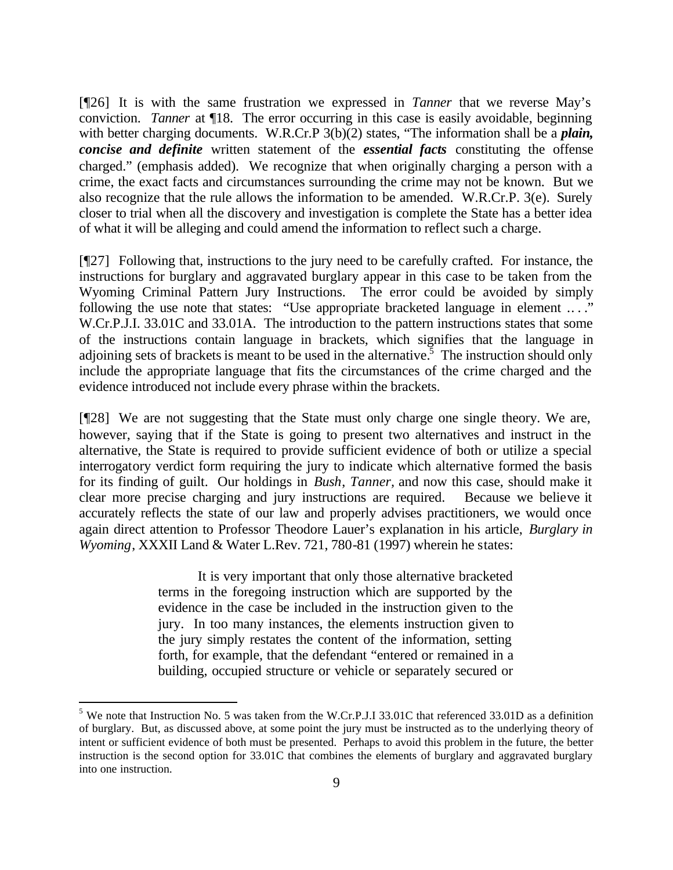[¶26] It is with the same frustration we expressed in *Tanner* that we reverse May's conviction. *Tanner* at ¶18. The error occurring in this case is easily avoidable, beginning with better charging documents. W.R.Cr.P 3(b)(2) states, "The information shall be a *plain*, *concise and definite* written statement of the *essential facts* constituting the offense charged." (emphasis added). We recognize that when originally charging a person with a crime, the exact facts and circumstances surrounding the crime may not be known. But we also recognize that the rule allows the information to be amended. W.R.Cr.P. 3(e). Surely closer to trial when all the discovery and investigation is complete the State has a better idea of what it will be alleging and could amend the information to reflect such a charge.

[¶27] Following that, instructions to the jury need to be carefully crafted. For instance, the instructions for burglary and aggravated burglary appear in this case to be taken from the Wyoming Criminal Pattern Jury Instructions. The error could be avoided by simply following the use note that states: "Use appropriate bracketed language in element ...." W.Cr.P.J.I. 33.01C and 33.01A. The introduction to the pattern instructions states that some of the instructions contain language in brackets, which signifies that the language in adjoining sets of brackets is meant to be used in the alternative.<sup>5</sup> The instruction should only include the appropriate language that fits the circumstances of the crime charged and the evidence introduced not include every phrase within the brackets.

[¶28] We are not suggesting that the State must only charge one single theory. We are, however, saying that if the State is going to present two alternatives and instruct in the alternative, the State is required to provide sufficient evidence of both or utilize a special interrogatory verdict form requiring the jury to indicate which alternative formed the basis for its finding of guilt. Our holdings in *Bush*, *Tanner,* and now this case, should make it clear more precise charging and jury instructions are required. Because we believe it accurately reflects the state of our law and properly advises practitioners, we would once again direct attention to Professor Theodore Lauer's explanation in his article, *Burglary in Wyoming*, XXXII Land & Water L.Rev. 721, 780-81 (1997) wherein he states:

> It is very important that only those alternative bracketed terms in the foregoing instruction which are supported by the evidence in the case be included in the instruction given to the jury. In too many instances, the elements instruction given to the jury simply restates the content of the information, setting forth, for example, that the defendant "entered or remained in a building, occupied structure or vehicle or separately secured or

l

<sup>&</sup>lt;sup>5</sup> We note that Instruction No. 5 was taken from the W.Cr.P.J.I 33.01C that referenced 33.01D as a definition of burglary. But, as discussed above, at some point the jury must be instructed as to the underlying theory of intent or sufficient evidence of both must be presented. Perhaps to avoid this problem in the future, the better instruction is the second option for 33.01C that combines the elements of burglary and aggravated burglary into one instruction.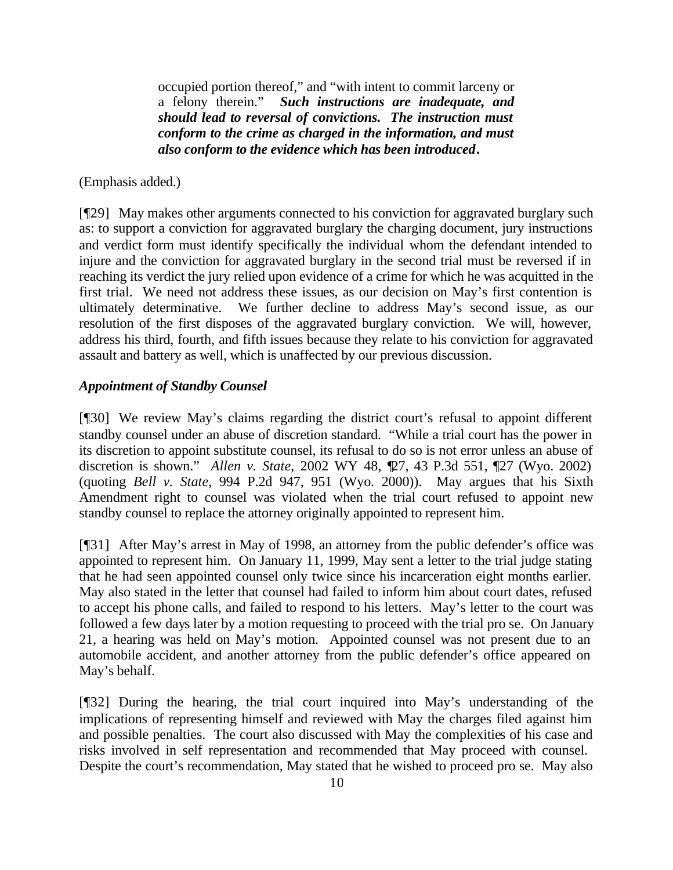occupied portion thereof," and "with intent to commit larceny or a felony therein." *Such instructions are inadequate, and should lead to reversal of convictions. The instruction must conform to the crime as charged in the information, and must also conform to the evidence which has been introduced***.**

#### (Emphasis added.)

[¶29] May makes other arguments connected to his conviction for aggravated burglary such as: to support a conviction for aggravated burglary the charging document, jury instructions and verdict form must identify specifically the individual whom the defendant intended to injure and the conviction for aggravated burglary in the second trial must be reversed if in reaching its verdict the jury relied upon evidence of a crime for which he was acquitted in the first trial. We need not address these issues, as our decision on May's first contention is ultimately determinative. We further decline to address May's second issue, as our resolution of the first disposes of the aggravated burglary conviction. We will, however, address his third, fourth, and fifth issues because they relate to his conviction for aggravated assault and battery as well, which is unaffected by our previous discussion.

#### *Appointment of Standby Counsel*

[¶30] We review May's claims regarding the district court's refusal to appoint different standby counsel under an abuse of discretion standard. "While a trial court has the power in its discretion to appoint substitute counsel, its refusal to do so is not error unless an abuse of discretion is shown." *Allen v. State*, 2002 WY 48, ¶27, 43 P.3d 551, ¶27 (Wyo. 2002) (quoting *Bell v. State*, 994 P.2d 947, 951 (Wyo. 2000)). May argues that his Sixth Amendment right to counsel was violated when the trial court refused to appoint new standby counsel to replace the attorney originally appointed to represent him.

[¶31] After May's arrest in May of 1998, an attorney from the public defender's office was appointed to represent him. On January 11, 1999, May sent a letter to the trial judge stating that he had seen appointed counsel only twice since his incarceration eight months earlier. May also stated in the letter that counsel had failed to inform him about court dates, refused to accept his phone calls, and failed to respond to his letters. May's letter to the court was followed a few days later by a motion requesting to proceed with the trial pro se. On January 21, a hearing was held on May's motion. Appointed counsel was not present due to an automobile accident, and another attorney from the public defender's office appeared on May's behalf.

[¶32] During the hearing, the trial court inquired into May's understanding of the implications of representing himself and reviewed with May the charges filed against him and possible penalties. The court also discussed with May the complexities of his case and risks involved in self representation and recommended that May proceed with counsel. Despite the court's recommendation, May stated that he wished to proceed pro se. May also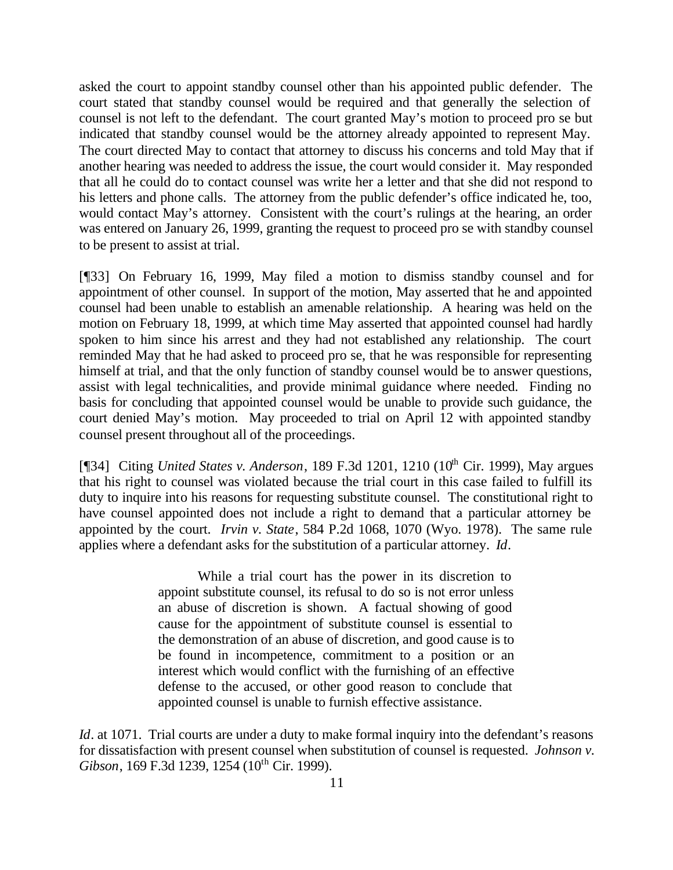asked the court to appoint standby counsel other than his appointed public defender. The court stated that standby counsel would be required and that generally the selection of counsel is not left to the defendant. The court granted May's motion to proceed pro se but indicated that standby counsel would be the attorney already appointed to represent May. The court directed May to contact that attorney to discuss his concerns and told May that if another hearing was needed to address the issue, the court would consider it. May responded that all he could do to contact counsel was write her a letter and that she did not respond to his letters and phone calls. The attorney from the public defender's office indicated he, too, would contact May's attorney. Consistent with the court's rulings at the hearing, an order was entered on January 26, 1999, granting the request to proceed pro se with standby counsel to be present to assist at trial.

[¶33] On February 16, 1999, May filed a motion to dismiss standby counsel and for appointment of other counsel. In support of the motion, May asserted that he and appointed counsel had been unable to establish an amenable relationship. A hearing was held on the motion on February 18, 1999, at which time May asserted that appointed counsel had hardly spoken to him since his arrest and they had not established any relationship. The court reminded May that he had asked to proceed pro se, that he was responsible for representing himself at trial, and that the only function of standby counsel would be to answer questions, assist with legal technicalities, and provide minimal guidance where needed. Finding no basis for concluding that appointed counsel would be unable to provide such guidance, the court denied May's motion. May proceeded to trial on April 12 with appointed standby counsel present throughout all of the proceedings.

[¶34] Citing *United States v. Anderson*, 189 F.3d 1201, 1210 (10<sup>th</sup> Cir. 1999), May argues that his right to counsel was violated because the trial court in this case failed to fulfill its duty to inquire into his reasons for requesting substitute counsel. The constitutional right to have counsel appointed does not include a right to demand that a particular attorney be appointed by the court. *Irvin v. State*, 584 P.2d 1068, 1070 (Wyo. 1978). The same rule applies where a defendant asks for the substitution of a particular attorney. *Id*.

> While a trial court has the power in its discretion to appoint substitute counsel, its refusal to do so is not error unless an abuse of discretion is shown. A factual showing of good cause for the appointment of substitute counsel is essential to the demonstration of an abuse of discretion, and good cause is to be found in incompetence, commitment to a position or an interest which would conflict with the furnishing of an effective defense to the accused, or other good reason to conclude that appointed counsel is unable to furnish effective assistance.

*Id*. at 1071. Trial courts are under a duty to make formal inquiry into the defendant's reasons for dissatisfaction with present counsel when substitution of counsel is requested. *Johnson v. Gibson*, 169 F.3d 1239, 1254 (10<sup>th</sup> Cir. 1999).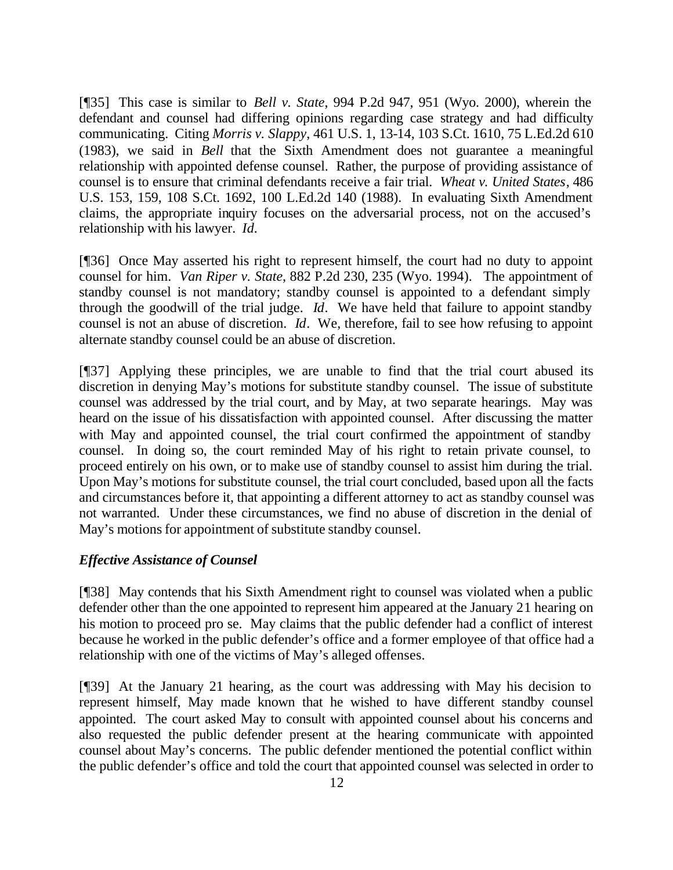[¶35] This case is similar to *Bell v. State*, 994 P.2d 947, 951 (Wyo. 2000), wherein the defendant and counsel had differing opinions regarding case strategy and had difficulty communicating. Citing *Morris v. Slappy*, 461 U.S. 1, 13-14, 103 S.Ct. 1610, 75 L.Ed.2d 610 (1983), we said in *Bell* that the Sixth Amendment does not guarantee a meaningful relationship with appointed defense counsel. Rather, the purpose of providing assistance of counsel is to ensure that criminal defendants receive a fair trial. *Wheat v. United States*, 486 U.S. 153, 159, 108 S.Ct. 1692, 100 L.Ed.2d 140 (1988). In evaluating Sixth Amendment claims, the appropriate inquiry focuses on the adversarial process, not on the accused's relationship with his lawyer. *Id.*

[¶36] Once May asserted his right to represent himself, the court had no duty to appoint counsel for him. *Van Riper v. State*, 882 P.2d 230, 235 (Wyo. 1994). The appointment of standby counsel is not mandatory; standby counsel is appointed to a defendant simply through the goodwill of the trial judge. *Id*. We have held that failure to appoint standby counsel is not an abuse of discretion. *Id*. We, therefore, fail to see how refusing to appoint alternate standby counsel could be an abuse of discretion.

[¶37] Applying these principles, we are unable to find that the trial court abused its discretion in denying May's motions for substitute standby counsel. The issue of substitute counsel was addressed by the trial court, and by May, at two separate hearings. May was heard on the issue of his dissatisfaction with appointed counsel. After discussing the matter with May and appointed counsel, the trial court confirmed the appointment of standby counsel. In doing so, the court reminded May of his right to retain private counsel, to proceed entirely on his own, or to make use of standby counsel to assist him during the trial. Upon May's motions for substitute counsel, the trial court concluded, based upon all the facts and circumstances before it, that appointing a different attorney to act as standby counsel was not warranted. Under these circumstances, we find no abuse of discretion in the denial of May's motions for appointment of substitute standby counsel.

## *Effective Assistance of Counsel*

[¶38] May contends that his Sixth Amendment right to counsel was violated when a public defender other than the one appointed to represent him appeared at the January 21 hearing on his motion to proceed pro se. May claims that the public defender had a conflict of interest because he worked in the public defender's office and a former employee of that office had a relationship with one of the victims of May's alleged offenses.

[¶39] At the January 21 hearing, as the court was addressing with May his decision to represent himself, May made known that he wished to have different standby counsel appointed. The court asked May to consult with appointed counsel about his concerns and also requested the public defender present at the hearing communicate with appointed counsel about May's concerns. The public defender mentioned the potential conflict within the public defender's office and told the court that appointed counsel was selected in order to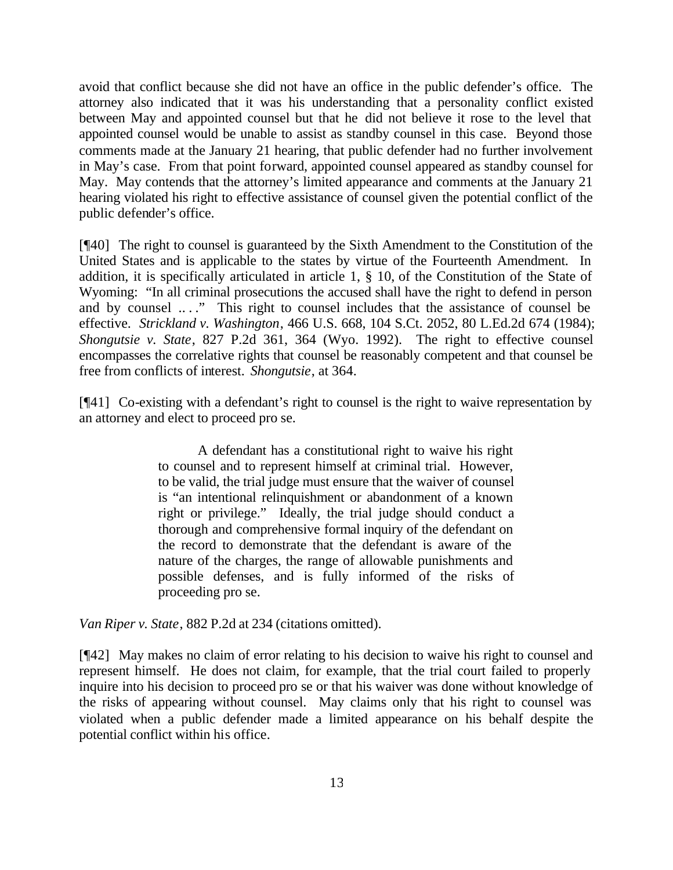avoid that conflict because she did not have an office in the public defender's office. The attorney also indicated that it was his understanding that a personality conflict existed between May and appointed counsel but that he did not believe it rose to the level that appointed counsel would be unable to assist as standby counsel in this case. Beyond those comments made at the January 21 hearing, that public defender had no further involvement in May's case. From that point forward, appointed counsel appeared as standby counsel for May. May contends that the attorney's limited appearance and comments at the January 21 hearing violated his right to effective assistance of counsel given the potential conflict of the public defender's office.

[¶40] The right to counsel is guaranteed by the Sixth Amendment to the Constitution of the United States and is applicable to the states by virtue of the Fourteenth Amendment. In addition, it is specifically articulated in article 1, § 10, of the Constitution of the State of Wyoming: "In all criminal prosecutions the accused shall have the right to defend in person and by counsel ...." This right to counsel includes that the assistance of counsel be effective. *Strickland v. Washington*, 466 U.S. 668, 104 S.Ct. 2052, 80 L.Ed.2d 674 (1984); *Shongutsie v. State*, 827 P.2d 361, 364 (Wyo. 1992).The right to effective counsel encompasses the correlative rights that counsel be reasonably competent and that counsel be free from conflicts of interest. *Shongutsie*, at 364.

[¶41] Co-existing with a defendant's right to counsel is the right to waive representation by an attorney and elect to proceed pro se.

> A defendant has a constitutional right to waive his right to counsel and to represent himself at criminal trial. However, to be valid, the trial judge must ensure that the waiver of counsel is "an intentional relinquishment or abandonment of a known right or privilege." Ideally, the trial judge should conduct a thorough and comprehensive formal inquiry of the defendant on the record to demonstrate that the defendant is aware of the nature of the charges, the range of allowable punishments and possible defenses, and is fully informed of the risks of proceeding pro se.

*Van Riper v. State*, 882 P.2d at 234 (citations omitted).

[¶42] May makes no claim of error relating to his decision to waive his right to counsel and represent himself. He does not claim, for example, that the trial court failed to properly inquire into his decision to proceed pro se or that his waiver was done without knowledge of the risks of appearing without counsel. May claims only that his right to counsel was violated when a public defender made a limited appearance on his behalf despite the potential conflict within his office.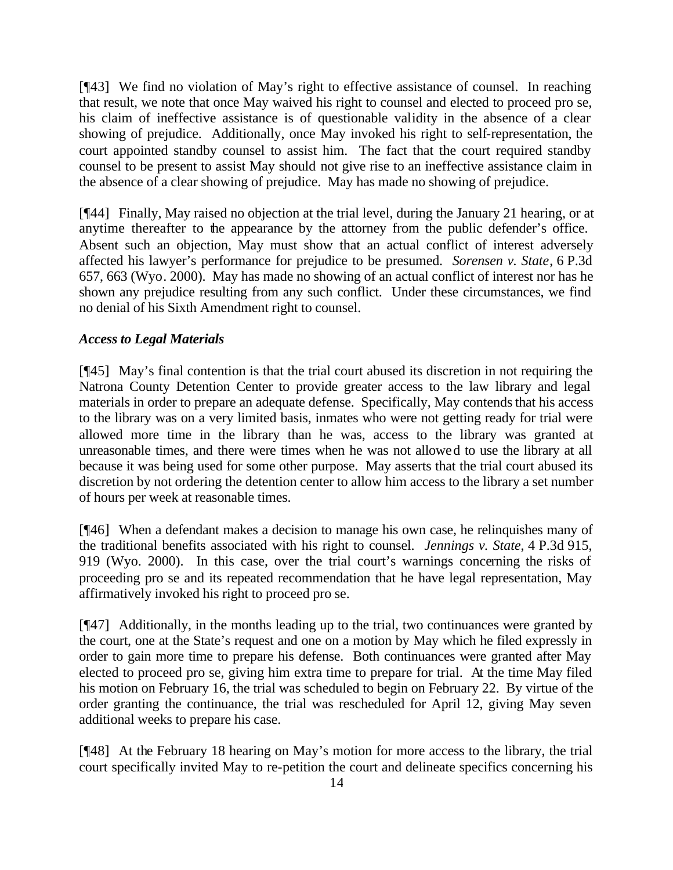[¶43] We find no violation of May's right to effective assistance of counsel. In reaching that result, we note that once May waived his right to counsel and elected to proceed pro se, his claim of ineffective assistance is of questionable validity in the absence of a clear showing of prejudice. Additionally, once May invoked his right to self-representation, the court appointed standby counsel to assist him. The fact that the court required standby counsel to be present to assist May should not give rise to an ineffective assistance claim in the absence of a clear showing of prejudice. May has made no showing of prejudice.

[¶44] Finally, May raised no objection at the trial level, during the January 21 hearing, or at anytime thereafter to the appearance by the attorney from the public defender's office. Absent such an objection, May must show that an actual conflict of interest adversely affected his lawyer's performance for prejudice to be presumed. *Sorensen v. State*, 6 P.3d 657, 663 (Wyo. 2000). May has made no showing of an actual conflict of interest nor has he shown any prejudice resulting from any such conflict. Under these circumstances, we find no denial of his Sixth Amendment right to counsel.

## *Access to Legal Materials*

[¶45] May's final contention is that the trial court abused its discretion in not requiring the Natrona County Detention Center to provide greater access to the law library and legal materials in order to prepare an adequate defense. Specifically, May contends that his access to the library was on a very limited basis, inmates who were not getting ready for trial were allowed more time in the library than he was, access to the library was granted at unreasonable times, and there were times when he was not allowed to use the library at all because it was being used for some other purpose. May asserts that the trial court abused its discretion by not ordering the detention center to allow him access to the library a set number of hours per week at reasonable times.

[¶46] When a defendant makes a decision to manage his own case, he relinquishes many of the traditional benefits associated with his right to counsel. *Jennings v. State*, 4 P.3d 915, 919 (Wyo. 2000). In this case, over the trial court's warnings concerning the risks of proceeding pro se and its repeated recommendation that he have legal representation, May affirmatively invoked his right to proceed pro se.

[¶47] Additionally, in the months leading up to the trial, two continuances were granted by the court, one at the State's request and one on a motion by May which he filed expressly in order to gain more time to prepare his defense. Both continuances were granted after May elected to proceed pro se, giving him extra time to prepare for trial. At the time May filed his motion on February 16, the trial was scheduled to begin on February 22. By virtue of the order granting the continuance, the trial was rescheduled for April 12, giving May seven additional weeks to prepare his case.

[¶48] At the February 18 hearing on May's motion for more access to the library, the trial court specifically invited May to re-petition the court and delineate specifics concerning his